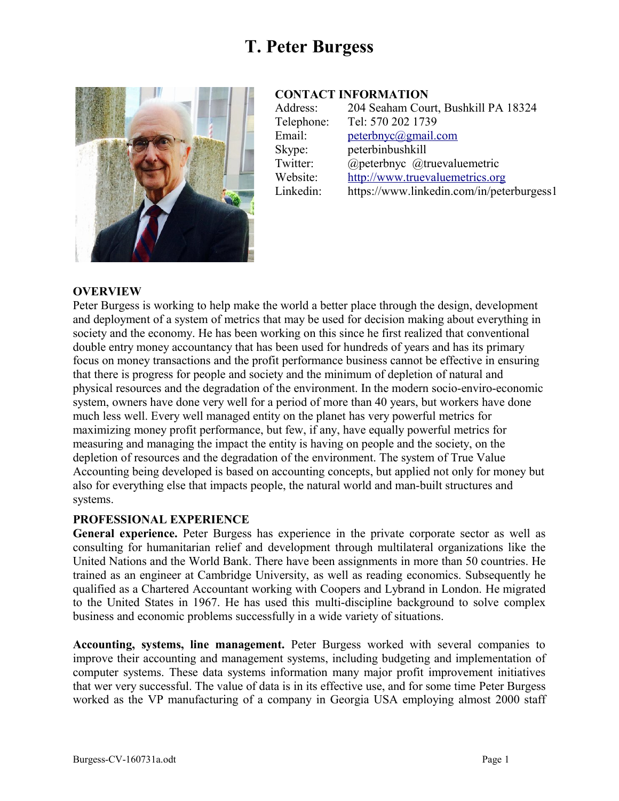# **T. Peter Burgess**



### **CONTACT INFORMATION**

| Address:   | 204 Seaham Court, Bushkill PA 18324       |
|------------|-------------------------------------------|
| Telephone: | Tel: 570 202 1739                         |
| Email:     | peterbnyc@gmail.com                       |
| Skype:     | peterbinbushkill                          |
| Twitter:   | @peterbnyc @truevaluemetric               |
| Website:   | http://www.truevaluemetrics.org           |
| Linkedin:  | https://www.linkedin.com/in/peterburgess1 |
|            |                                           |

#### **OVERVIEW**

Peter Burgess is working to help make the world a better place through the design, development and deployment of a system of metrics that may be used for decision making about everything in society and the economy. He has been working on this since he first realized that conventional double entry money accountancy that has been used for hundreds of years and has its primary focus on money transactions and the profit performance business cannot be effective in ensuring that there is progress for people and society and the minimum of depletion of natural and physical resources and the degradation of the environment. In the modern socio-enviro-economic system, owners have done very well for a period of more than 40 years, but workers have done much less well. Every well managed entity on the planet has very powerful metrics for maximizing money profit performance, but few, if any, have equally powerful metrics for measuring and managing the impact the entity is having on people and the society, on the depletion of resources and the degradation of the environment. The system of True Value Accounting being developed is based on accounting concepts, but applied not only for money but also for everything else that impacts people, the natural world and man-built structures and systems.

#### **PROFESSIONAL EXPERIENCE**

**General experience.** Peter Burgess has experience in the private corporate sector as well as consulting for humanitarian relief and development through multilateral organizations like the United Nations and the World Bank. There have been assignments in more than 50 countries. He trained as an engineer at Cambridge University, as well as reading economics. Subsequently he qualified as a Chartered Accountant working with Coopers and Lybrand in London. He migrated to the United States in 1967. He has used this multi-discipline background to solve complex business and economic problems successfully in a wide variety of situations.

**Accounting, systems, line management.** Peter Burgess worked with several companies to improve their accounting and management systems, including budgeting and implementation of computer systems. These data systems information many major profit improvement initiatives that wer very successful. The value of data is in its effective use, and for some time Peter Burgess worked as the VP manufacturing of a company in Georgia USA employing almost 2000 staff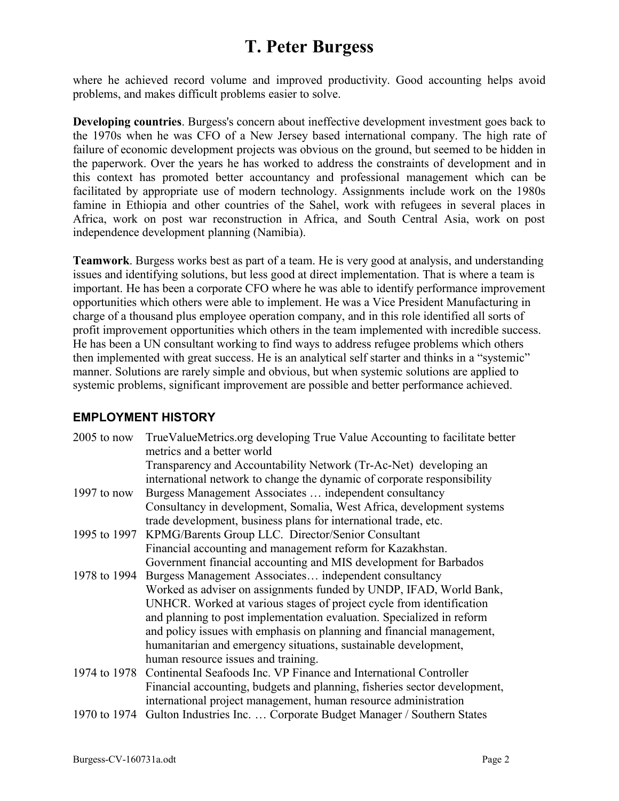## **T. Peter Burgess**

where he achieved record volume and improved productivity. Good accounting helps avoid problems, and makes difficult problems easier to solve.

**Developing countries**. Burgess's concern about ineffective development investment goes back to the 1970s when he was CFO of a New Jersey based international company. The high rate of failure of economic development projects was obvious on the ground, but seemed to be hidden in the paperwork. Over the years he has worked to address the constraints of development and in this context has promoted better accountancy and professional management which can be facilitated by appropriate use of modern technology. Assignments include work on the 1980s famine in Ethiopia and other countries of the Sahel, work with refugees in several places in Africa, work on post war reconstruction in Africa, and South Central Asia, work on post independence development planning (Namibia).

**Teamwork**. Burgess works best as part of a team. He is very good at analysis, and understanding issues and identifying solutions, but less good at direct implementation. That is where a team is important. He has been a corporate CFO where he was able to identify performance improvement opportunities which others were able to implement. He was a Vice President Manufacturing in charge of a thousand plus employee operation company, and in this role identified all sorts of profit improvement opportunities which others in the team implemented with incredible success. He has been a UN consultant working to find ways to address refugee problems which others then implemented with great success. He is an analytical self starter and thinks in a "systemic" manner. Solutions are rarely simple and obvious, but when systemic solutions are applied to systemic problems, significant improvement are possible and better performance achieved.

### **EMPLOYMENT HISTORY**

| $2005$ to now | TrueValueMetrics.org developing True Value Accounting to facilitate better<br>metrics and a better world |
|---------------|----------------------------------------------------------------------------------------------------------|
|               | Transparency and Accountability Network (Tr-Ac-Net) developing an                                        |
|               | international network to change the dynamic of corporate responsibility                                  |
| 1997 to now   | Burgess Management Associates  independent consultancy                                                   |
|               | Consultancy in development, Somalia, West Africa, development systems                                    |
|               | trade development, business plans for international trade, etc.                                          |
|               | 1995 to 1997 KPMG/Barents Group LLC. Director/Senior Consultant                                          |
|               | Financial accounting and management reform for Kazakhstan.                                               |
|               | Government financial accounting and MIS development for Barbados                                         |
|               | 1978 to 1994 Burgess Management Associates independent consultancy                                       |
|               | Worked as adviser on assignments funded by UNDP, IFAD, World Bank,                                       |
|               | UNHCR. Worked at various stages of project cycle from identification                                     |
|               | and planning to post implementation evaluation. Specialized in reform                                    |
|               | and policy issues with emphasis on planning and financial management,                                    |
|               | humanitarian and emergency situations, sustainable development,                                          |
|               | human resource issues and training.                                                                      |
|               | 1974 to 1978 Continental Seafoods Inc. VP Finance and International Controller                           |
|               | Financial accounting, budgets and planning, fisheries sector development,                                |
|               | international project management, human resource administration                                          |
|               | 1070 to 1074 Culton Industries Inc. Cornersts Dudget Menegar (Southern States                            |

1970 to 1974 Gulton Industries Inc. … Corporate Budget Manager / Southern States